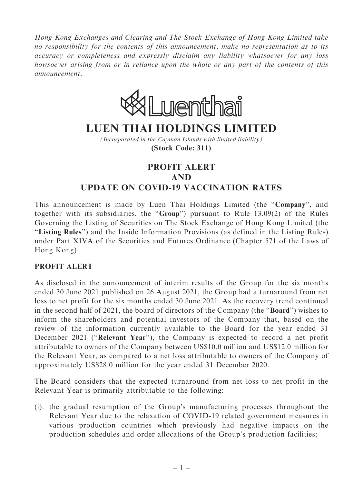Hong Kong Exchanges and Clearing and The Stock Exchange of Hong Kong Limited take no responsibility for the contents of this announcement, make no representation as to its accuracy or completeness and expressly disclaim any liability whatsoever for any loss howsoever arising from or in reliance upon the whole or any part of the contents of this announcement.



## **LUEN THAI HOLDINGS LIMITED**

*(Incorporated in the Cayman Islands with limited liability)* **(Stock Code: 311)**

## PROFIT ALERT AND UPDATE ON COVID-19 VACCINATION RATES

This announcement is made by Luen Thai Holdings Limited (the "Company", and together with its subsidiaries, the ''Group'') pursuant to Rule 13.09(2) of the Rules Governing the Listing of Securities on The Stock Exchange of Hong Kong Limited (the ''Listing Rules'') and the Inside Information Provisions (as defined in the Listing Rules) under Part XIVA of the Securities and Futures Ordinance (Chapter 571 of the Laws of Hong Kong).

## PROFIT ALERT

As disclosed in the announcement of interim results of the Group for the six months ended 30 June 2021 published on 26 August 2021, the Group had a turnaround from net loss to net profit for the six months ended 30 June 2021. As the recovery trend continued in the second half of 2021, the board of directors of the Company (the ''Board'') wishes to inform the shareholders and potential investors of the Company that, based on the review of the information currently available to the Board for the year ended 31 December 2021 ("Relevant Year"), the Company is expected to record a net profit attributable to owners of the Company between US\$10.0 million and US\$12.0 million for the Relevant Year, as compared to a net loss attributable to owners of the Company of approximately US\$28.0 million for the year ended 31 December 2020.

The Board considers that the expected turnaround from net loss to net profit in the Relevant Year is primarily attributable to the following:

(i). the gradual resumption of the Group's manufacturing processes throughout the Relevant Year due to the relaxation of COVID-19 related government measures in various production countries which previously had negative impacts on the production schedules and order allocations of the Group's production facilities;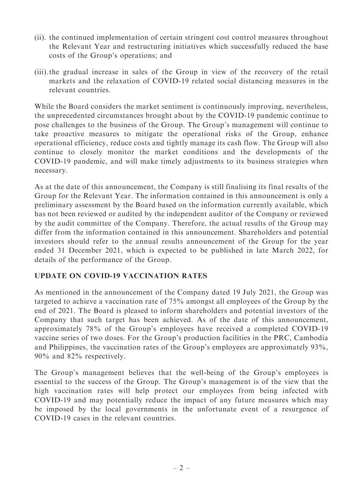- (ii). the continued implementation of certain stringent cost control measures throughout the Relevant Year and restructuring initiatives which successfully reduced the base costs of the Group's operations; and
- (iii).the gradual increase in sales of the Group in view of the recovery of the retail markets and the relaxation of COVID-19 related social distancing measures in the relevant countries.

While the Board considers the market sentiment is continuously improving, nevertheless, the unprecedented circumstances brought about by the COVID-19 pandemic continue to pose challenges to the business of the Group. The Group's management will continue to take proactive measures to mitigate the operational risks of the Group, enhance operational efficiency, reduce costs and tightly manage its cash flow. The Group will also continue to closely monitor the market conditions and the developments of the COVID-19 pandemic, and will make timely adjustments to its business strategies when necessary.

As at the date of this announcement, the Company is still finalising its final results of the Group for the Relevant Year. The information contained in this announcement is only a preliminary assessment by the Board based on the information currently available, which has not been reviewed or audited by the independent auditor of the Company or reviewed by the audit committee of the Company. Therefore, the actual results of the Group may differ from the information contained in this announcement. Shareholders and potential investors should refer to the annual results announcement of the Group for the year ended 31 December 2021, which is expected to be published in late March 2022, for details of the performance of the Group.

## UPDATE ON COVID-19 VACCINATION RATES

As mentioned in the announcement of the Company dated 19 July 2021, the Group was targeted to achieve a vaccination rate of 75% amongst all employees of the Group by the end of 2021. The Board is pleased to inform shareholders and potential investors of the Company that such target has been achieved. As of the date of this announcement, approximately 78% of the Group's employees have received a completed COVID-19 vaccine series of two doses. For the Group's production facilities in the PRC, Cambodia and Philippines, the vaccination rates of the Group's employees are approximately 93%, 90% and 82% respectively.

The Group's management believes that the well-being of the Group's employees is essential to the success of the Group. The Group's management is of the view that the high vaccination rates will help protect our employees from being infected with COVID-19 and may potentially reduce the impact of any future measures which may be imposed by the local governments in the unfortunate event of a resurgence of COVID-19 cases in the relevant countries.